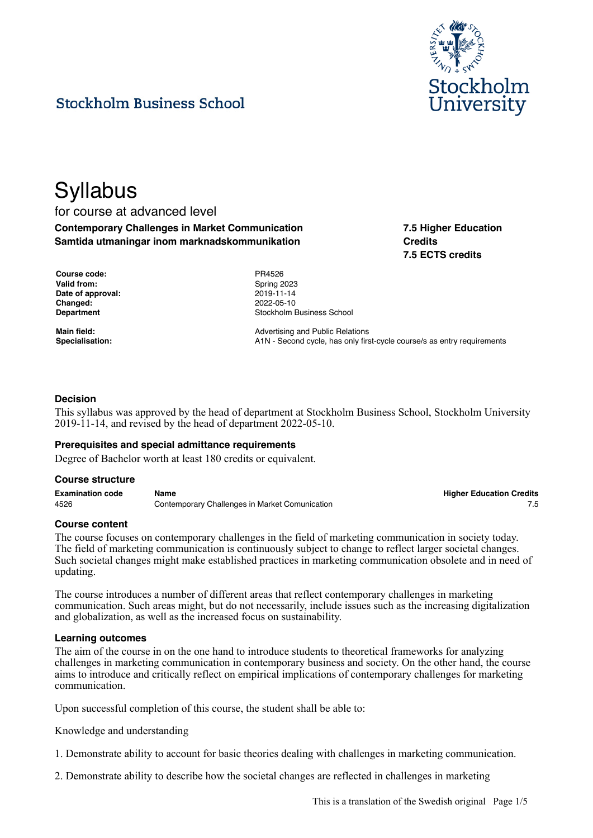

# **Stockholm Business School**

# **Syllabus**

# for course at advanced level **Contemporary Challenges in Market Communication Samtida utmaningar inom marknadskommunikation**

**7.5 Higher Education Credits 7.5 ECTS credits**

| <b>Course code:</b> |
|---------------------|
| <b>Valid from:</b>  |
| Date of approval:   |
| Changed:            |
| <b>Department</b>   |

**Course code:** PR4526 **Valid from:** Spring 2023 **Date of approval:** 2019-11-14 **Changed:** 2022-05-10 **Stockholm Business School** 

**Main field:** Main field: Main field: Advertising and Public Relations Specialisation: **A1N** - Second cycle, has only first-cycle course/s as entry requirements

# **Decision**

This syllabus was approved by the head of department at Stockholm Business School, Stockholm University 2019-11-14, and revised by the head of department 2022-05-10.

#### **Prerequisites and special admittance requirements**

Degree of Bachelor worth at least 180 credits or equivalent.

#### **Course structure**

**Examination code Name Higher Education Credits** 4526 Contemporary Challenges in Market Comunication 7.5

#### **Course content**

The course focuses on contemporary challenges in the field of marketing communication in society today. The field of marketing communication is continuously subject to change to reflect larger societal changes. Such societal changes might make established practices in marketing communication obsolete and in need of updating.

The course introduces a number of different areas that reflect contemporary challenges in marketing communication. Such areas might, but do not necessarily, include issues such as the increasing digitalization and globalization, as well as the increased focus on sustainability.

#### **Learning outcomes**

The aim of the course in on the one hand to introduce students to theoretical frameworks for analyzing challenges in marketing communication in contemporary business and society. On the other hand, the course aims to introduce and critically reflect on empirical implications of contemporary challenges for marketing communication.

Upon successful completion of this course, the student shall be able to:

#### Knowledge and understanding

1. Demonstrate ability to account for basic theories dealing with challenges in marketing communication.

2. Demonstrate ability to describe how the societal changes are reflected in challenges in marketing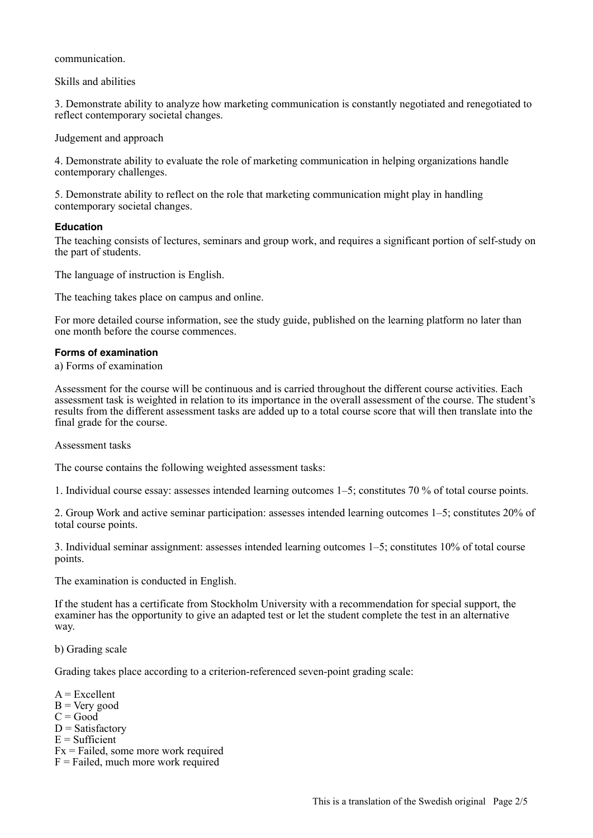communication.

Skills and abilities

3. Demonstrate ability to analyze how marketing communication is constantly negotiated and renegotiated to reflect contemporary societal changes.

Judgement and approach

4. Demonstrate ability to evaluate the role of marketing communication in helping organizations handle contemporary challenges.

5. Demonstrate ability to reflect on the role that marketing communication might play in handling contemporary societal changes.

#### **Education**

The teaching consists of lectures, seminars and group work, and requires a significant portion of self-study on the part of students.

The language of instruction is English.

The teaching takes place on campus and online.

For more detailed course information, see the study guide, published on the learning platform no later than one month before the course commences.

#### **Forms of examination**

#### a) Forms of examination

Assessment for the course will be continuous and is carried throughout the different course activities. Each assessment task is weighted in relation to its importance in the overall assessment of the course. The student's results from the different assessment tasks are added up to a total course score that will then translate into the final grade for the course.

Assessment tasks

The course contains the following weighted assessment tasks:

1. Individual course essay: assesses intended learning outcomes 1–5; constitutes 70 % of total course points.

2. Group Work and active seminar participation: assesses intended learning outcomes 1–5; constitutes 20% of total course points.

3. Individual seminar assignment: assesses intended learning outcomes 1–5; constitutes 10% of total course points.

The examination is conducted in English.

If the student has a certificate from Stockholm University with a recommendation for special support, the examiner has the opportunity to give an adapted test or let the student complete the test in an alternative way.

# b) Grading scale

Grading takes place according to a criterion-referenced seven-point grading scale:

 $A = Excellent$  $B = V$ ery good  $C = Good$  $D = Satisfactory$  $E = Sufficient$ Fx = Failed, some more work required  $F =$  Failed, much more work required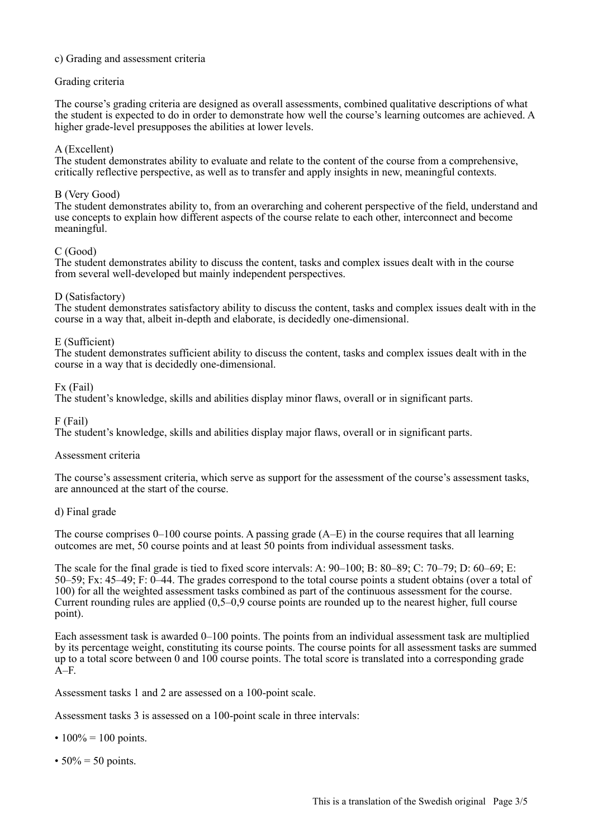# c) Grading and assessment criteria

# Grading criteria

The course's grading criteria are designed as overall assessments, combined qualitative descriptions of what the student is expected to do in order to demonstrate how well the course's learning outcomes are achieved. A higher grade-level presupposes the abilities at lower levels.

# A (Excellent)

The student demonstrates ability to evaluate and relate to the content of the course from a comprehensive, critically reflective perspective, as well as to transfer and apply insights in new, meaningful contexts.

# B (Very Good)

The student demonstrates ability to, from an overarching and coherent perspective of the field, understand and use concepts to explain how different aspects of the course relate to each other, interconnect and become meaningful.

# C (Good)

The student demonstrates ability to discuss the content, tasks and complex issues dealt with in the course from several well-developed but mainly independent perspectives.

# D (Satisfactory)

The student demonstrates satisfactory ability to discuss the content, tasks and complex issues dealt with in the course in a way that, albeit in-depth and elaborate, is decidedly one-dimensional.

# E (Sufficient)

The student demonstrates sufficient ability to discuss the content, tasks and complex issues dealt with in the course in a way that is decidedly one-dimensional.

# Fx (Fail)

The student's knowledge, skills and abilities display minor flaws, overall or in significant parts.

#### F (Fail)

The student's knowledge, skills and abilities display major flaws, overall or in significant parts.

# Assessment criteria

The course's assessment criteria, which serve as support for the assessment of the course's assessment tasks, are announced at the start of the course.

# d) Final grade

The course comprises 0–100 course points. A passing grade (A–E) in the course requires that all learning outcomes are met, 50 course points and at least 50 points from individual assessment tasks.

The scale for the final grade is tied to fixed score intervals: A: 90–100; B: 80–89; C: 70–79; D: 60–69; E: 50–59; Fx: 45–49; F: 0–44. The grades correspond to the total course points a student obtains (over a total of 100) for all the weighted assessment tasks combined as part of the continuous assessment for the course. Current rounding rules are applied (0,5–0,9 course points are rounded up to the nearest higher, full course point).

Each assessment task is awarded 0–100 points. The points from an individual assessment task are multiplied by its percentage weight, constituting its course points. The course points for all assessment tasks are summed up to a total score between 0 and 100 course points. The total score is translated into a corresponding grade A–F.

Assessment tasks 1 and 2 are assessed on a 100-point scale.

Assessment tasks 3 is assessed on a 100-point scale in three intervals:

- $100\% = 100$  points.
- $50\% = 50$  points.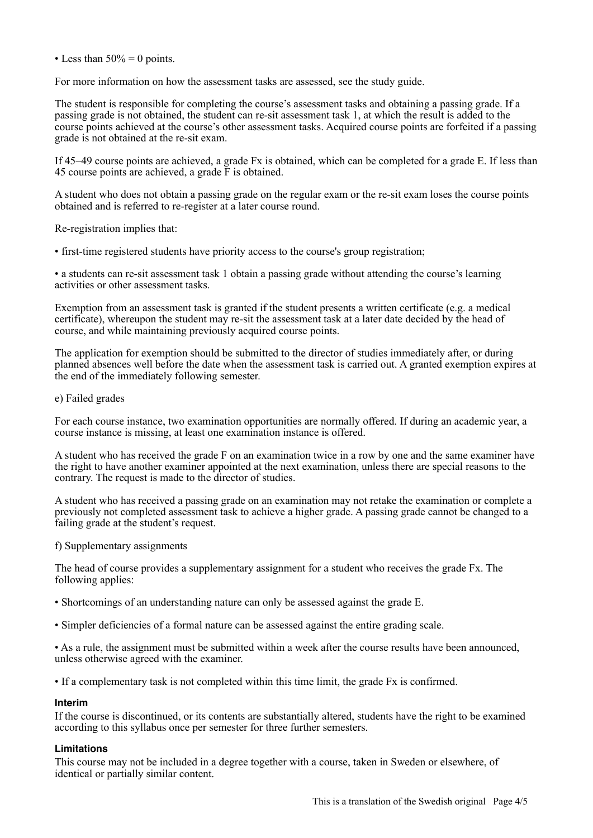• Less than  $50\% = 0$  points.

For more information on how the assessment tasks are assessed, see the study guide.

The student is responsible for completing the course's assessment tasks and obtaining a passing grade. If a passing grade is not obtained, the student can re-sit assessment task 1, at which the result is added to the course points achieved at the course's other assessment tasks. Acquired course points are forfeited if a passing grade is not obtained at the re-sit exam.

If 45–49 course points are achieved, a grade Fx is obtained, which can be completed for a grade E. If less than 45 course points are achieved, a grade F is obtained.

A student who does not obtain a passing grade on the regular exam or the re-sit exam loses the course points obtained and is referred to re-register at a later course round.

Re-registration implies that:

• first-time registered students have priority access to the course's group registration;

• a students can re-sit assessment task 1 obtain a passing grade without attending the course's learning activities or other assessment tasks.

Exemption from an assessment task is granted if the student presents a written certificate (e.g. a medical certificate), whereupon the student may re-sit the assessment task at a later date decided by the head of course, and while maintaining previously acquired course points.

The application for exemption should be submitted to the director of studies immediately after, or during planned absences well before the date when the assessment task is carried out. A granted exemption expires at the end of the immediately following semester.

#### e) Failed grades

For each course instance, two examination opportunities are normally offered. If during an academic year, a course instance is missing, at least one examination instance is offered.

A student who has received the grade F on an examination twice in a row by one and the same examiner have the right to have another examiner appointed at the next examination, unless there are special reasons to the contrary. The request is made to the director of studies.

A student who has received a passing grade on an examination may not retake the examination or complete a previously not completed assessment task to achieve a higher grade. A passing grade cannot be changed to a failing grade at the student's request.

f) Supplementary assignments

The head of course provides a supplementary assignment for a student who receives the grade Fx. The following applies:

- Shortcomings of an understanding nature can only be assessed against the grade E.
- Simpler deficiencies of a formal nature can be assessed against the entire grading scale.

• As a rule, the assignment must be submitted within a week after the course results have been announced, unless otherwise agreed with the examiner.

• If a complementary task is not completed within this time limit, the grade Fx is confirmed.

#### **Interim**

If the course is discontinued, or its contents are substantially altered, students have the right to be examined according to this syllabus once per semester for three further semesters.

#### **Limitations**

This course may not be included in a degree together with a course, taken in Sweden or elsewhere, of identical or partially similar content.